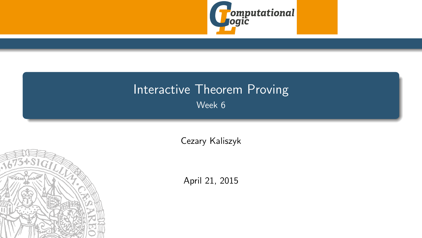

## <span id="page-0-0"></span>Interactive Theorem Proving Week 6

[Cezary Kaliszyk](http://cl-informatik.uibk.ac.at/~cek)



April 21, 2015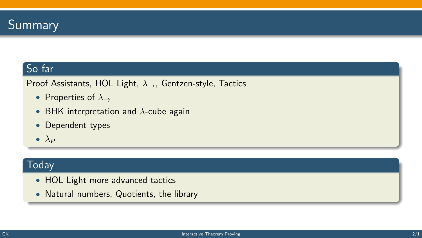

## So far

Proof Assistants, HOL Light,  $\lambda_{\rightarrow}$ , Gentzen-style, Tactics

- Properties of  $\lambda_{\rightarrow}$
- BHK interpretation and  $\lambda$ -cube again
- Dependent types
- $\bullet$   $\lambda_P$

#### **Today**

- HOL Light more advanced tactics
- Natural numbers, Quotients, the library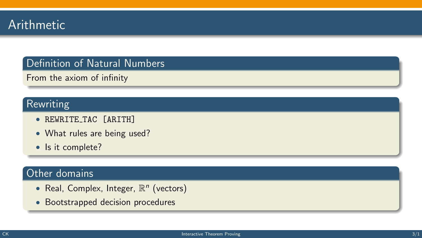

## Definition of Natural Numbers

From the axiom of infinity

#### Rewriting

- REWRITE TAC [ARITH]
- What rules are being used?
- Is it complete?

## Other domains

- Real, Complex, Integer,  $\mathbb{R}^n$  (vectors)
- Bootstrapped decision procedures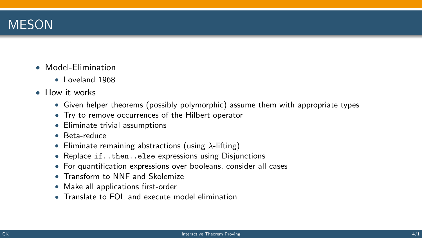

- Model-Elimination
	- Loveland 1968
- How it works
	- Given helper theorems (possibly polymorphic) assume them with appropriate types
	- Try to remove occurrences of the Hilbert operator
	- Eliminate trivial assumptions
	- Beta-reduce
	- Eliminate remaining abstractions (using  $\lambda$ -lifting)
	- Replace if..then..else expressions using Disjunctions
	- For quantification expressions over booleans, consider all cases
	- Transform to NNF and Skolemize
	- Make all applications first-order
	- Translate to FOL and execute model elimination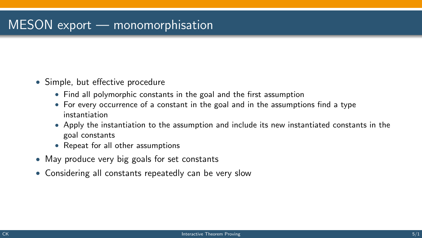# MESON export — monomorphisation

- Simple, but effective procedure
	- Find all polymorphic constants in the goal and the first assumption
	- For every occurrence of a constant in the goal and in the assumptions find a type instantiation
	- Apply the instantiation to the assumption and include its new instantiated constants in the goal constants
	- Repeat for all other assumptions
- May produce very big goals for set constants
- Considering all constants repeatedly can be very slow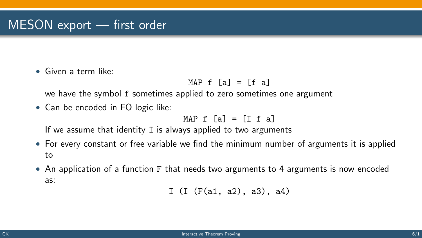• Given a term like:

$$
MAP f [a] = [f a]
$$

we have the symbol f sometimes applied to zero sometimes one argument

• Can be encoded in FO logic like:

MAP  $f$  [a] =  $[f f a]$ 

If we assume that identity I is always applied to two arguments

- For every constant or free variable we find the minimum number of arguments it is applied to
- An application of a function F that needs two arguments to 4 arguments is now encoded as:

I (I (F(a1, a2), a3), a4)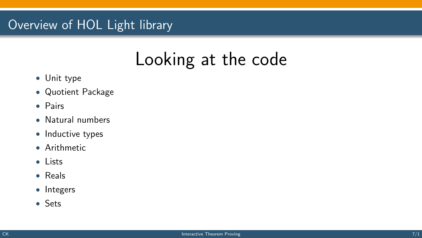# Overview of HOL Light library

# Looking at the code

- Unit type
- Quotient Package
- Pairs
- Natural numbers
- Inductive types
- Arithmetic
- Lists
- Reals
- Integers
- Sets